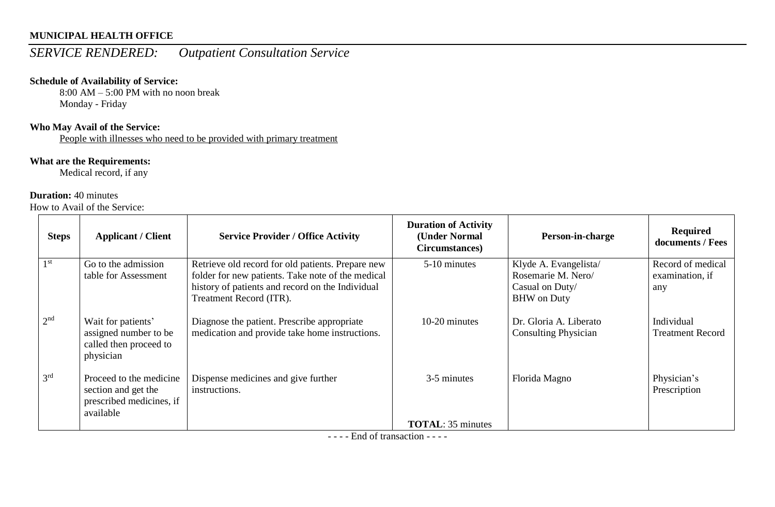# *SERVICE RENDERED: Outpatient Consultation Service*

#### **Schedule of Availability of Service:**

 $8:00$  AM – 5:00 PM with no noon break Monday - Friday

#### **Who May Avail of the Service:**

People with illnesses who need to be provided with primary treatment

#### **What are the Requirements:**

Medical record, if any

#### **Duration:** 40 minutes

How to Avail of the Service:

| <b>Steps</b>    | <b>Applicant / Client</b>                                                               | <b>Service Provider / Office Activity</b>                                                                                                                                             | <b>Duration of Activity</b><br>(Under Normal<br>Circumstances) | Person-in-charge                                                                     | <b>Required</b><br>documents / Fees         |
|-----------------|-----------------------------------------------------------------------------------------|---------------------------------------------------------------------------------------------------------------------------------------------------------------------------------------|----------------------------------------------------------------|--------------------------------------------------------------------------------------|---------------------------------------------|
| 1 <sup>st</sup> | Go to the admission<br>table for Assessment                                             | Retrieve old record for old patients. Prepare new<br>folder for new patients. Take note of the medical<br>history of patients and record on the Individual<br>Treatment Record (ITR). | 5-10 minutes                                                   | Klyde A. Evangelista/<br>Rosemarie M. Nero/<br>Casual on Duty/<br><b>BHW</b> on Duty | Record of medical<br>examination, if<br>any |
| 2 <sup>nd</sup> | Wait for patients'<br>assigned number to be<br>called then proceed to<br>physician      | Diagnose the patient. Prescribe appropriate<br>medication and provide take home instructions.                                                                                         | 10-20 minutes                                                  | Dr. Gloria A. Liberato<br><b>Consulting Physician</b>                                | Individual<br><b>Treatment Record</b>       |
| 3 <sup>rd</sup> | Proceed to the medicine<br>section and get the<br>prescribed medicines, if<br>available | Dispense medicines and give further<br>instructions.                                                                                                                                  | 3-5 minutes                                                    | Florida Magno                                                                        | Physician's<br>Prescription                 |
|                 |                                                                                         |                                                                                                                                                                                       | <b>TOTAL:</b> 35 minutes                                       |                                                                                      |                                             |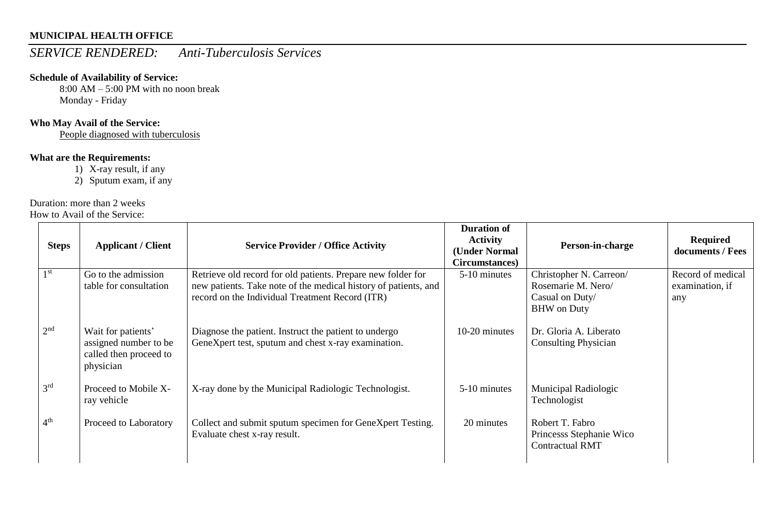### *SERVICE RENDERED: Anti-Tuberculosis Services*

#### **Schedule of Availability of Service:**

8:00 AM – 5:00 PM with no noon break Monday - Friday

### **Who May Avail of the Service:**

People diagnosed with tuberculosis

#### **What are the Requirements:**

1) X-ray result, if any

2) Sputum exam, if any

#### Duration: more than 2 weeks

How to Avail of the Service:

| <b>Steps</b>    | <b>Applicant / Client</b>                                                          | <b>Service Provider / Office Activity</b>                                                                                                                                          | <b>Duration of</b><br><b>Activity</b><br>(Under Normal<br>Circumstances) | Person-in-charge                                                                       | <b>Required</b><br>documents / Fees         |
|-----------------|------------------------------------------------------------------------------------|------------------------------------------------------------------------------------------------------------------------------------------------------------------------------------|--------------------------------------------------------------------------|----------------------------------------------------------------------------------------|---------------------------------------------|
| 1 <sup>st</sup> | Go to the admission<br>table for consultation                                      | Retrieve old record for old patients. Prepare new folder for<br>new patients. Take note of the medical history of patients, and<br>record on the Individual Treatment Record (ITR) | 5-10 minutes                                                             | Christopher N. Carreon/<br>Rosemarie M. Nero/<br>Casual on Duty/<br><b>BHW</b> on Duty | Record of medical<br>examination, if<br>any |
| 2 <sup>nd</sup> | Wait for patients'<br>assigned number to be<br>called then proceed to<br>physician | Diagnose the patient. Instruct the patient to undergo<br>GeneXpert test, sputum and chest x-ray examination.                                                                       | 10-20 minutes                                                            | Dr. Gloria A. Liberato<br><b>Consulting Physician</b>                                  |                                             |
| 3 <sup>rd</sup> | Proceed to Mobile X-<br>ray vehicle                                                | X-ray done by the Municipal Radiologic Technologist.                                                                                                                               | 5-10 minutes                                                             | Municipal Radiologic<br>Technologist                                                   |                                             |
| 4 <sup>th</sup> | Proceed to Laboratory                                                              | Collect and submit sputum specimen for GeneXpert Testing.<br>Evaluate chest x-ray result.                                                                                          | 20 minutes                                                               | Robert T. Fabro<br>Princesss Stephanie Wico<br><b>Contractual RMT</b>                  |                                             |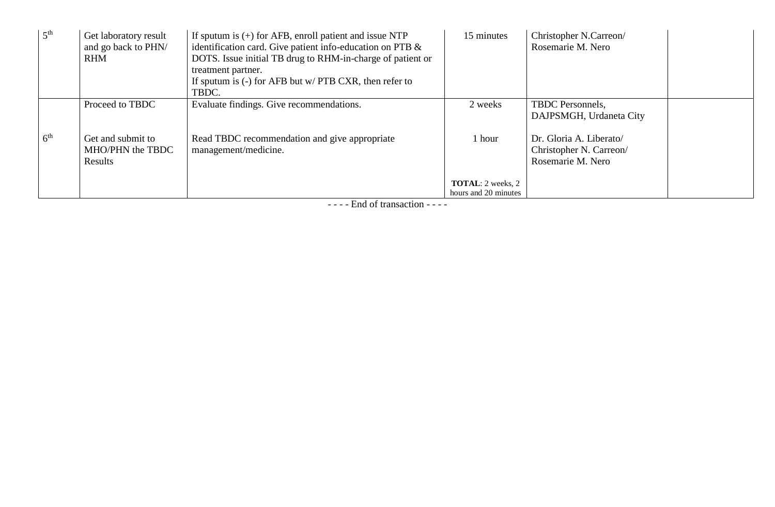| 5 <sup>th</sup> | Get laboratory result<br>and go back to PHN/<br><b>RHM</b> | If sputum is $(+)$ for AFB, enroll patient and issue NTP<br>identification card. Give patient info-education on PTB $\&$<br>DOTS. Issue initial TB drug to RHM-in-charge of patient or<br>treatment partner.<br>If sputum is $(-)$ for AFB but w/ PTB CXR, then refer to<br>TBDC. | 15 minutes                                       | Christopher N.Carreon/<br>Rosemarie M. Nero                             |
|-----------------|------------------------------------------------------------|-----------------------------------------------------------------------------------------------------------------------------------------------------------------------------------------------------------------------------------------------------------------------------------|--------------------------------------------------|-------------------------------------------------------------------------|
|                 | Proceed to TBDC                                            | Evaluate findings. Give recommendations.                                                                                                                                                                                                                                          | 2 weeks                                          | <b>TBDC</b> Personnels,<br>DAJPSMGH, Urdaneta City                      |
| 6 <sup>th</sup> | Get and submit to<br>MHO/PHN the TBDC<br>Results           | Read TBDC recommendation and give appropriate<br>management/medicine.                                                                                                                                                                                                             | 1 hour                                           | Dr. Gloria A. Liberato/<br>Christopher N. Carreon/<br>Rosemarie M. Nero |
|                 |                                                            |                                                                                                                                                                                                                                                                                   | <b>TOTAL:</b> 2 weeks, 2<br>hours and 20 minutes |                                                                         |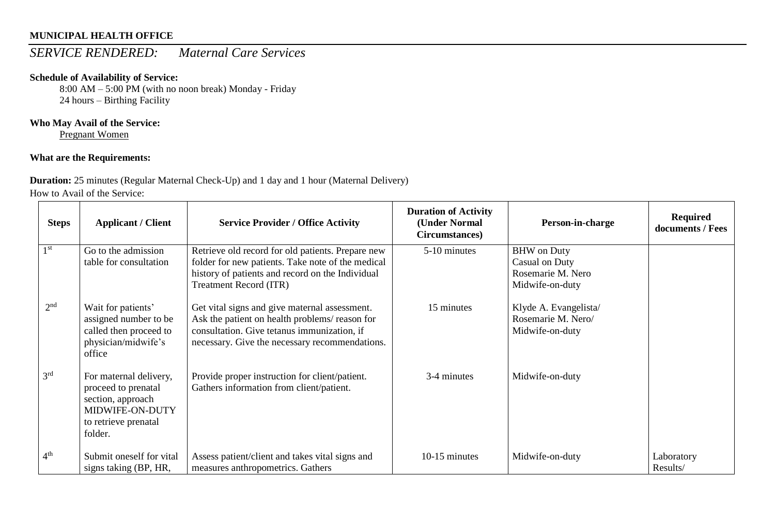# *SERVICE RENDERED: Maternal Care Services*

#### **Schedule of Availability of Service:**

8:00 AM – 5:00 PM (with no noon break) Monday - Friday 24 hours – Birthing Facility

### **Who May Avail of the Service:**

Pregnant Women

### **What are the Requirements:**

### **Duration:** 25 minutes (Regular Maternal Check-Up) and 1 day and 1 hour (Maternal Delivery)

How to Avail of the Service:

| <b>Steps</b>    | <b>Applicant / Client</b>                                                                                                | <b>Service Provider / Office Activity</b>                                                                                                                                                       | <b>Duration of Activity</b><br>(Under Normal<br>Circumstances) | Person-in-charge                                                             | <b>Required</b><br>documents / Fees |
|-----------------|--------------------------------------------------------------------------------------------------------------------------|-------------------------------------------------------------------------------------------------------------------------------------------------------------------------------------------------|----------------------------------------------------------------|------------------------------------------------------------------------------|-------------------------------------|
| 1 <sup>st</sup> | Go to the admission<br>table for consultation                                                                            | Retrieve old record for old patients. Prepare new<br>folder for new patients. Take note of the medical<br>history of patients and record on the Individual<br><b>Treatment Record (ITR)</b>     | 5-10 minutes                                                   | <b>BHW</b> on Duty<br>Casual on Duty<br>Rosemarie M. Nero<br>Midwife-on-duty |                                     |
| 2 <sup>nd</sup> | Wait for patients'<br>assigned number to be<br>called then proceed to<br>physician/midwife's<br>office                   | Get vital signs and give maternal assessment.<br>Ask the patient on health problems/reason for<br>consultation. Give tetanus immunization, if<br>necessary. Give the necessary recommendations. | 15 minutes                                                     | Klyde A. Evangelista/<br>Rosemarie M. Nero/<br>Midwife-on-duty               |                                     |
| 3 <sup>rd</sup> | For maternal delivery,<br>proceed to prenatal<br>section, approach<br>MIDWIFE-ON-DUTY<br>to retrieve prenatal<br>folder. | Provide proper instruction for client/patient.<br>Gathers information from client/patient.                                                                                                      | 3-4 minutes                                                    | Midwife-on-duty                                                              |                                     |
| 4 <sup>th</sup> | Submit oneself for vital<br>signs taking (BP, HR,                                                                        | Assess patient/client and takes vital signs and<br>measures anthropometrics. Gathers                                                                                                            | 10-15 minutes                                                  | Midwife-on-duty                                                              | Laboratory<br>Results/              |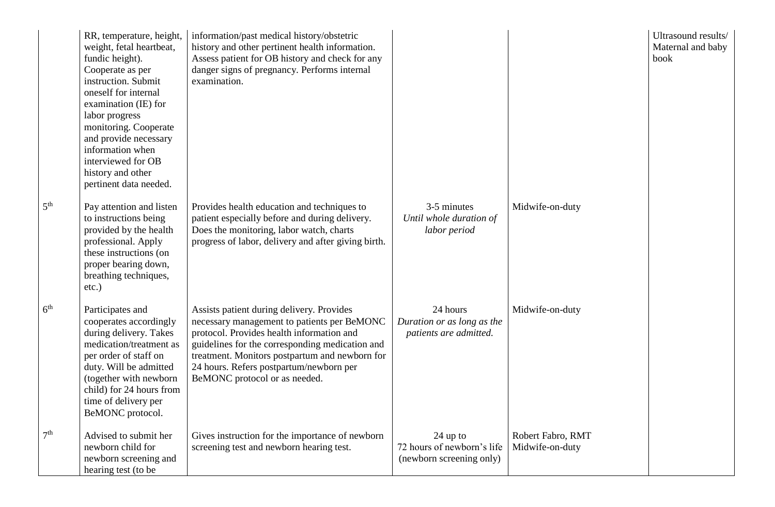|                 | RR, temperature, height,<br>weight, fetal heartbeat,<br>fundic height).<br>Cooperate as per<br>instruction. Submit<br>oneself for internal<br>examination (IE) for<br>labor progress<br>monitoring. Cooperate<br>and provide necessary<br>information when<br>interviewed for OB<br>history and other<br>pertinent data needed. | information/past medical history/obstetric<br>history and other pertinent health information.<br>Assess patient for OB history and check for any<br>danger signs of pregnancy. Performs internal<br>examination.                                                                                                       |                                                                      |                                      | Ultrasound results/<br>Maternal and baby<br>book |
|-----------------|---------------------------------------------------------------------------------------------------------------------------------------------------------------------------------------------------------------------------------------------------------------------------------------------------------------------------------|------------------------------------------------------------------------------------------------------------------------------------------------------------------------------------------------------------------------------------------------------------------------------------------------------------------------|----------------------------------------------------------------------|--------------------------------------|--------------------------------------------------|
| 5 <sup>th</sup> | Pay attention and listen<br>to instructions being<br>provided by the health<br>professional. Apply<br>these instructions (on<br>proper bearing down,<br>breathing techniques,<br>$etc.$ )                                                                                                                                       | Provides health education and techniques to<br>patient especially before and during delivery.<br>Does the monitoring, labor watch, charts<br>progress of labor, delivery and after giving birth.                                                                                                                       | 3-5 minutes<br>Until whole duration of<br>labor period               | Midwife-on-duty                      |                                                  |
| $6^{\rm th}$    | Participates and<br>cooperates accordingly<br>during delivery. Takes<br>medication/treatment as<br>per order of staff on<br>duty. Will be admitted<br>(together with newborn<br>child) for 24 hours from<br>time of delivery per<br>BeMONC protocol.                                                                            | Assists patient during delivery. Provides<br>necessary management to patients per BeMONC<br>protocol. Provides health information and<br>guidelines for the corresponding medication and<br>treatment. Monitors postpartum and newborn for<br>24 hours. Refers postpartum/newborn per<br>BeMONC protocol or as needed. | 24 hours<br>Duration or as long as the<br>patients are admitted.     | Midwife-on-duty                      |                                                  |
| $7^{\rm th}$    | Advised to submit her<br>newborn child for<br>newborn screening and<br>hearing test (to be                                                                                                                                                                                                                                      | Gives instruction for the importance of newborn<br>screening test and newborn hearing test.                                                                                                                                                                                                                            | $24$ up to<br>72 hours of newborn's life<br>(newborn screening only) | Robert Fabro, RMT<br>Midwife-on-duty |                                                  |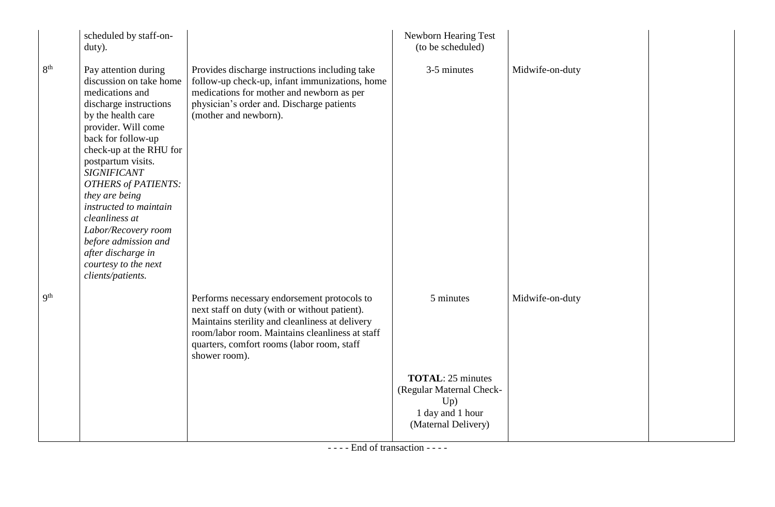|                          | scheduled by staff-on-<br>duty).                                                                                                                                                                                                                                                                                                                                                                                                                     |                                                                                                                                                                                                                                                                   | Newborn Hearing Test<br>(to be scheduled)                                                              |                 |  |
|--------------------------|------------------------------------------------------------------------------------------------------------------------------------------------------------------------------------------------------------------------------------------------------------------------------------------------------------------------------------------------------------------------------------------------------------------------------------------------------|-------------------------------------------------------------------------------------------------------------------------------------------------------------------------------------------------------------------------------------------------------------------|--------------------------------------------------------------------------------------------------------|-----------------|--|
| 8 <sup>th</sup>          | Pay attention during<br>discussion on take home<br>medications and<br>discharge instructions<br>by the health care<br>provider. Will come<br>back for follow-up<br>check-up at the RHU for<br>postpartum visits.<br><b>SIGNIFICANT</b><br><b>OTHERS of PATIENTS:</b><br>they are being<br>instructed to maintain<br>cleanliness at<br>Labor/Recovery room<br>before admission and<br>after discharge in<br>courtesy to the next<br>clients/patients. | Provides discharge instructions including take<br>follow-up check-up, infant immunizations, home<br>medications for mother and newborn as per<br>physician's order and. Discharge patients<br>(mother and newborn).                                               | 3-5 minutes                                                                                            | Midwife-on-duty |  |
| $\mathbf{Q}^{\text{th}}$ |                                                                                                                                                                                                                                                                                                                                                                                                                                                      | Performs necessary endorsement protocols to<br>next staff on duty (with or without patient).<br>Maintains sterility and cleanliness at delivery<br>room/labor room. Maintains cleanliness at staff<br>quarters, comfort rooms (labor room, staff<br>shower room). | 5 minutes                                                                                              | Midwife-on-duty |  |
|                          |                                                                                                                                                                                                                                                                                                                                                                                                                                                      |                                                                                                                                                                                                                                                                   | <b>TOTAL: 25 minutes</b><br>(Regular Maternal Check-<br>Up)<br>1 day and 1 hour<br>(Maternal Delivery) |                 |  |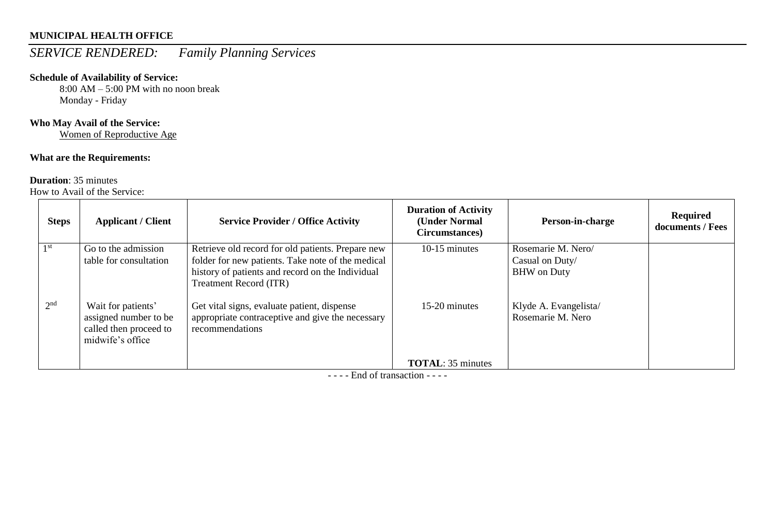# *SERVICE RENDERED: Family Planning Services*

#### **Schedule of Availability of Service:**

8:00 AM – 5:00 PM with no noon break Monday - Friday

#### **Who May Avail of the Service:**

Women of Reproductive Age

#### **What are the Requirements:**

#### **Duration**: 35 minutes

How to Avail of the Service:

|                 | <b>Steps</b> | <b>Applicant / Client</b>                                                                 | <b>Service Provider / Office Activity</b>                                                                                                                                                   | <b>Duration of Activity</b><br>(Under Normal<br>Circumstances) | Person-in-charge                                            | <b>Required</b><br>documents / Fees |
|-----------------|--------------|-------------------------------------------------------------------------------------------|---------------------------------------------------------------------------------------------------------------------------------------------------------------------------------------------|----------------------------------------------------------------|-------------------------------------------------------------|-------------------------------------|
| 1 st            |              | Go to the admission<br>table for consultation                                             | Retrieve old record for old patients. Prepare new<br>folder for new patients. Take note of the medical<br>history of patients and record on the Individual<br><b>Treatment Record (ITR)</b> | 10-15 minutes                                                  | Rosemarie M. Nero/<br>Casual on Duty/<br><b>BHW</b> on Duty |                                     |
| 2 <sup>nd</sup> |              | Wait for patients'<br>assigned number to be<br>called then proceed to<br>midwife's office | Get vital signs, evaluate patient, dispense<br>appropriate contraceptive and give the necessary<br>recommendations                                                                          | 15-20 minutes                                                  | Klyde A. Evangelista/<br>Rosemarie M. Nero                  |                                     |
|                 |              |                                                                                           |                                                                                                                                                                                             | <b>TOTAL:</b> 35 minutes                                       |                                                             |                                     |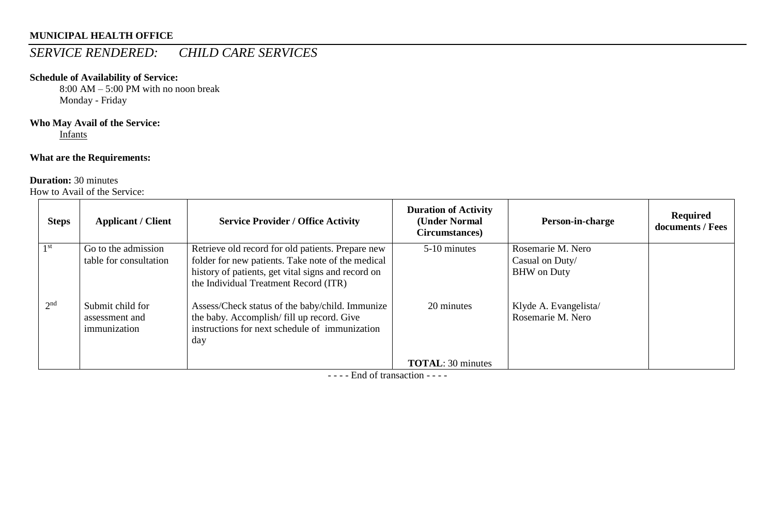# *SERVICE RENDERED: CHILD CARE SERVICES*

#### **Schedule of Availability of Service:**

8:00 AM – 5:00 PM with no noon break Monday - Friday

### **Who May Avail of the Service:**

Infants

### **What are the Requirements:**

#### **Duration:** 30 minutes

How to Avail of the Service:

| <b>Steps</b>    | <b>Applicant / Client</b>                          | <b>Service Provider / Office Activity</b>                                                                                                                                                             | <b>Duration of Activity</b><br>(Under Normal<br>Circumstances) | Person-in-charge                                           | <b>Required</b><br>documents / Fees |
|-----------------|----------------------------------------------------|-------------------------------------------------------------------------------------------------------------------------------------------------------------------------------------------------------|----------------------------------------------------------------|------------------------------------------------------------|-------------------------------------|
| 1 <sup>st</sup> | Go to the admission<br>table for consultation      | Retrieve old record for old patients. Prepare new<br>folder for new patients. Take note of the medical<br>history of patients, get vital signs and record on<br>the Individual Treatment Record (ITR) | 5-10 minutes                                                   | Rosemarie M. Nero<br>Casual on Duty/<br><b>BHW</b> on Duty |                                     |
| 2 <sup>nd</sup> | Submit child for<br>assessment and<br>immunization | Assess/Check status of the baby/child. Immunize<br>the baby. Accomplish/fill up record. Give<br>instructions for next schedule of immunization<br>day                                                 | 20 minutes                                                     | Klyde A. Evangelista/<br>Rosemarie M. Nero                 |                                     |
|                 |                                                    |                                                                                                                                                                                                       | <b>TOTAL: 30 minutes</b>                                       |                                                            |                                     |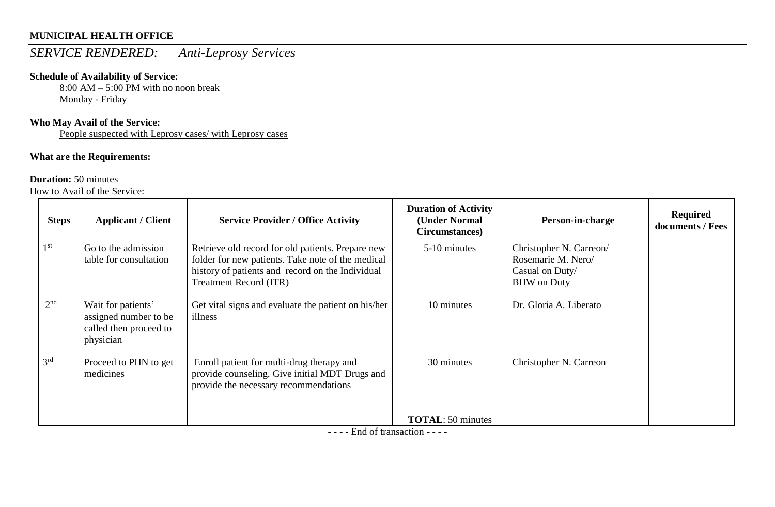# *SERVICE RENDERED: Anti-Leprosy Services*

#### **Schedule of Availability of Service:**

8:00 AM – 5:00 PM with no noon break Monday - Friday

### **Who May Avail of the Service:**

People suspected with Leprosy cases/ with Leprosy cases

### **What are the Requirements:**

#### **Duration:** 50 minutes

How to Avail of the Service:

| <b>Steps</b>    | <b>Applicant / Client</b>                                                          | <b>Service Provider / Office Activity</b>                                                                                            | <b>Duration of Activity</b><br>(Under Normal<br>Circumstances) | Person-in-charge                              | <b>Required</b><br>documents / Fees |
|-----------------|------------------------------------------------------------------------------------|--------------------------------------------------------------------------------------------------------------------------------------|----------------------------------------------------------------|-----------------------------------------------|-------------------------------------|
| 1 <sup>st</sup> | Go to the admission<br>table for consultation                                      | Retrieve old record for old patients. Prepare new                                                                                    | 5-10 minutes                                                   | Christopher N. Carreon/<br>Rosemarie M. Nero/ |                                     |
|                 |                                                                                    | folder for new patients. Take note of the medical<br>history of patients and record on the Individual                                |                                                                | Casual on Duty/                               |                                     |
|                 |                                                                                    | <b>Treatment Record (ITR)</b>                                                                                                        |                                                                | <b>BHW</b> on Duty                            |                                     |
| 2 <sup>nd</sup> | Wait for patients'<br>assigned number to be<br>called then proceed to<br>physician | Get vital signs and evaluate the patient on his/her<br>illness                                                                       | 10 minutes                                                     | Dr. Gloria A. Liberato                        |                                     |
| 3 <sup>rd</sup> | Proceed to PHN to get<br>medicines                                                 | Enroll patient for multi-drug therapy and<br>provide counseling. Give initial MDT Drugs and<br>provide the necessary recommendations | 30 minutes                                                     | Christopher N. Carreon                        |                                     |
|                 |                                                                                    |                                                                                                                                      | <b>TOTAL:</b> 50 minutes                                       |                                               |                                     |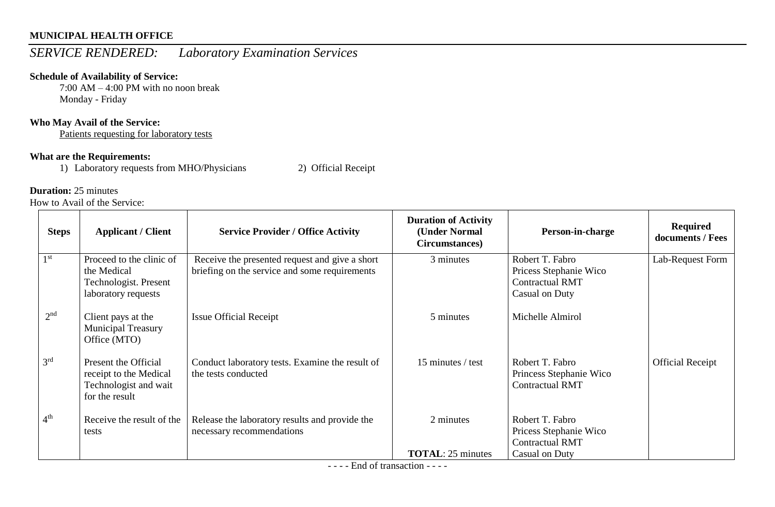# *SERVICE RENDERED: Laboratory Examination Services*

#### **Schedule of Availability of Service:**

7:00 AM – 4:00 PM with no noon break Monday - Friday

#### **Who May Avail of the Service:**

Patients requesting for laboratory tests

#### **What are the Requirements:**

1) Laboratory requests from MHO/Physicians 2) Official Receipt

#### **Duration:** 25 minutes

How to Avail of the Service:

| <b>Steps</b>    | <b>Applicant / Client</b>                                                                 | <b>Service Provider / Office Activity</b>                                                       | <b>Duration of Activity</b><br>(Under Normal<br>Circumstances) | Person-in-charge                                                                      | <b>Required</b><br>documents / Fees |
|-----------------|-------------------------------------------------------------------------------------------|-------------------------------------------------------------------------------------------------|----------------------------------------------------------------|---------------------------------------------------------------------------------------|-------------------------------------|
| 1 <sup>st</sup> | Proceed to the clinic of<br>the Medical<br>Technologist. Present<br>laboratory requests   | Receive the presented request and give a short<br>briefing on the service and some requirements | 3 minutes                                                      | Robert T. Fabro<br>Pricess Stephanie Wico<br><b>Contractual RMT</b><br>Casual on Duty | Lab-Request Form                    |
| 2 <sup>nd</sup> | Client pays at the<br><b>Municipal Treasury</b><br>Office (MTO)                           | <b>Issue Official Receipt</b>                                                                   | 5 minutes                                                      | Michelle Almirol                                                                      |                                     |
| 3 <sup>rd</sup> | Present the Official<br>receipt to the Medical<br>Technologist and wait<br>for the result | Conduct laboratory tests. Examine the result of<br>the tests conducted                          | 15 minutes / test                                              | Robert T. Fabro<br>Princess Stephanie Wico<br><b>Contractual RMT</b>                  | <b>Official Receipt</b>             |
| 4 <sup>th</sup> | Receive the result of the<br>tests                                                        | Release the laboratory results and provide the<br>necessary recommendations                     | 2 minutes                                                      | Robert T. Fabro<br>Pricess Stephanie Wico<br><b>Contractual RMT</b>                   |                                     |
|                 |                                                                                           | $\mathbf{r}$ 1 $\mathbf{c}$ .                                                                   | <b>TOTAL:</b> 25 minutes                                       | Casual on Duty                                                                        |                                     |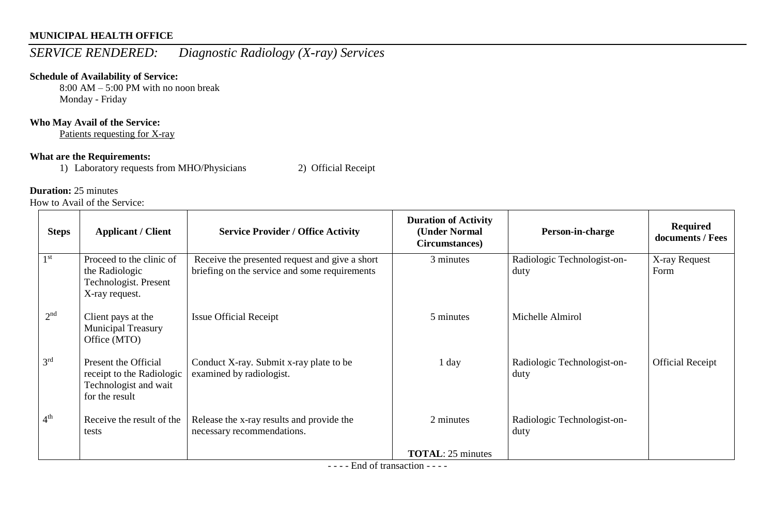# *SERVICE RENDERED: Diagnostic Radiology (X-ray) Services*

### **Schedule of Availability of Service:**

8:00 AM – 5:00 PM with no noon break Monday - Friday

#### **Who May Avail of the Service:**

Patients requesting for X-ray

#### **What are the Requirements:**

1) Laboratory requests from MHO/Physicians 2) Official Receipt

#### **Duration:** 25 minutes

How to Avail of the Service:

| <b>Steps</b>    | <b>Applicant / Client</b>                                                                    | <b>Service Provider / Office Activity</b>                                                       | <b>Duration of Activity</b><br>(Under Normal<br>Circumstances) | Person-in-charge                    | <b>Required</b><br>documents / Fees |
|-----------------|----------------------------------------------------------------------------------------------|-------------------------------------------------------------------------------------------------|----------------------------------------------------------------|-------------------------------------|-------------------------------------|
| 1 <sup>st</sup> | Proceed to the clinic of<br>the Radiologic<br>Technologist. Present<br>X-ray request.        | Receive the presented request and give a short<br>briefing on the service and some requirements | 3 minutes                                                      | Radiologic Technologist-on-<br>duty | X-ray Request<br>Form               |
| 2 <sup>nd</sup> | Client pays at the<br><b>Municipal Treasury</b><br>Office (MTO)                              | <b>Issue Official Receipt</b>                                                                   | 5 minutes                                                      | Michelle Almirol                    |                                     |
| 3 <sup>rd</sup> | Present the Official<br>receipt to the Radiologic<br>Technologist and wait<br>for the result | Conduct X-ray. Submit x-ray plate to be<br>examined by radiologist.                             | 1 day                                                          | Radiologic Technologist-on-<br>duty | <b>Official Receipt</b>             |
| 4 <sup>th</sup> | Receive the result of the<br>tests                                                           | Release the x-ray results and provide the<br>necessary recommendations.                         | 2 minutes                                                      | Radiologic Technologist-on-<br>duty |                                     |
|                 |                                                                                              | $\blacksquare$ $\blacksquare$ $\blacksquare$ $\blacksquare$                                     | <b>TOTAL: 25 minutes</b>                                       |                                     |                                     |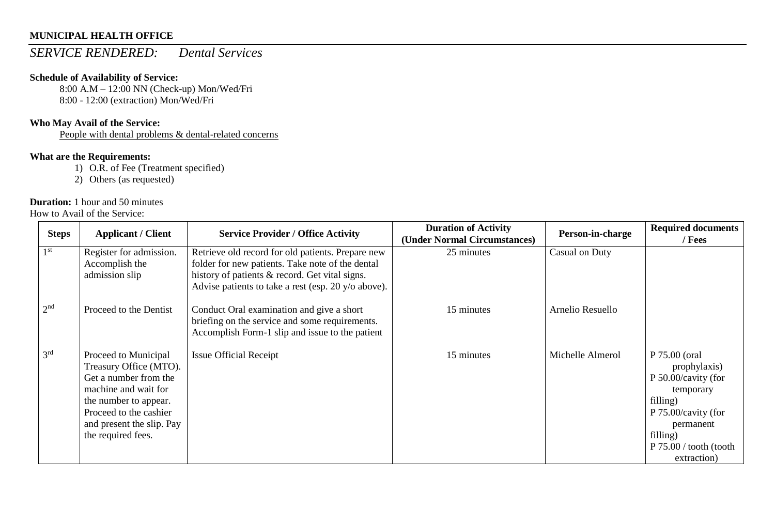### *SERVICE RENDERED: Dental Services*

#### **Schedule of Availability of Service:**

8:00 A.M – 12:00 NN (Check-up) Mon/Wed/Fri 8:00 - 12:00 (extraction) Mon/Wed/Fri

#### **Who May Avail of the Service:**

People with dental problems & dental-related concerns

### **What are the Requirements:**

1) O.R. of Fee (Treatment specified)

2) Others (as requested)

### **Duration:** 1 hour and 50 minutes

How to Avail of the Service:

| <b>Steps</b>    | <b>Applicant / Client</b>                                                                                                                                                                             | <b>Service Provider / Office Activity</b>                                                                                                                                                                      | <b>Duration of Activity</b><br>(Under Normal Circumstances) | Person-in-charge | <b>Required documents</b><br>/ Fees                                                                                                                                    |
|-----------------|-------------------------------------------------------------------------------------------------------------------------------------------------------------------------------------------------------|----------------------------------------------------------------------------------------------------------------------------------------------------------------------------------------------------------------|-------------------------------------------------------------|------------------|------------------------------------------------------------------------------------------------------------------------------------------------------------------------|
| 1 <sup>st</sup> | Register for admission.<br>Accomplish the<br>admission slip                                                                                                                                           | Retrieve old record for old patients. Prepare new<br>folder for new patients. Take note of the dental<br>history of patients & record. Get vital signs.<br>Advise patients to take a rest (esp. 20 y/o above). | 25 minutes                                                  | Casual on Duty   |                                                                                                                                                                        |
| 2 <sup>nd</sup> | Proceed to the Dentist                                                                                                                                                                                | Conduct Oral examination and give a short<br>briefing on the service and some requirements.<br>Accomplish Form-1 slip and issue to the patient                                                                 | 15 minutes                                                  | Arnelio Resuello |                                                                                                                                                                        |
| 3 <sup>rd</sup> | Proceed to Municipal<br>Treasury Office (MTO).<br>Get a number from the<br>machine and wait for<br>the number to appear.<br>Proceed to the cashier<br>and present the slip. Pay<br>the required fees. | <b>Issue Official Receipt</b>                                                                                                                                                                                  | 15 minutes                                                  | Michelle Almerol | P 75.00 (oral<br>prophylaxis)<br>P 50.00/cavity (for<br>temporary<br>filling)<br>P 75.00/cavity (for<br>permanent<br>filling)<br>P 75.00 / tooth (tooth<br>extraction) |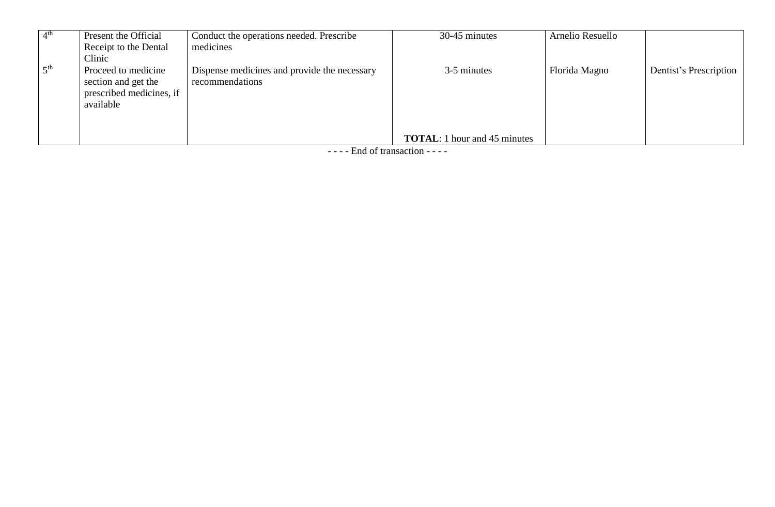| 4 <sup>th</sup> | Present the Official     | Conduct the operations needed. Prescribe     | 30-45 minutes                       | Arnelio Resuello |                        |
|-----------------|--------------------------|----------------------------------------------|-------------------------------------|------------------|------------------------|
|                 | Receipt to the Dental    | medicines                                    |                                     |                  |                        |
|                 | Clinic                   |                                              |                                     |                  |                        |
| 5 <sup>th</sup> | Proceed to medicine      | Dispense medicines and provide the necessary | 3-5 minutes                         | Florida Magno    | Dentist's Prescription |
|                 | section and get the      | recommendations                              |                                     |                  |                        |
|                 | prescribed medicines, if |                                              |                                     |                  |                        |
|                 | available                |                                              |                                     |                  |                        |
|                 |                          |                                              |                                     |                  |                        |
|                 |                          |                                              |                                     |                  |                        |
|                 |                          |                                              | <b>TOTAL:</b> 1 hour and 45 minutes |                  |                        |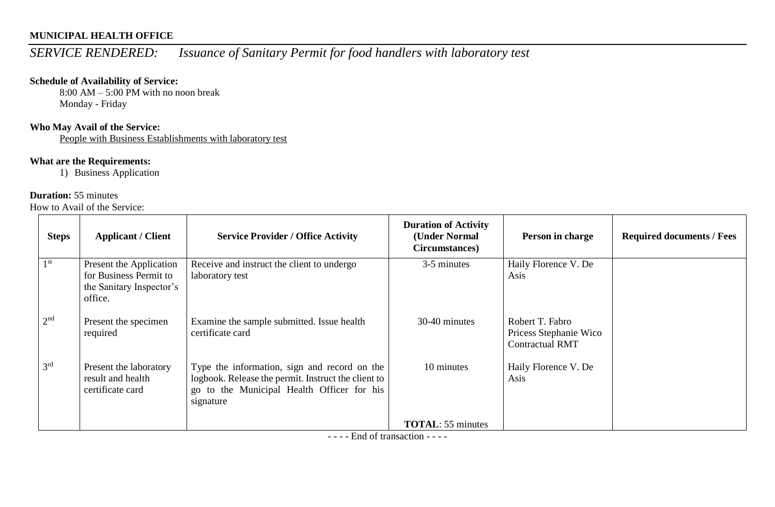# *SERVICE RENDERED: Issuance of Sanitary Permit for food handlers with laboratory test*

#### **Schedule of Availability of Service:**

 $8:00$  AM – 5:00 PM with no noon break Monday - Friday

### **Who May Avail of the Service:**

People with Business Establishments with laboratory test

### **What are the Requirements:**

1) Business Application

#### **Duration:** 55 minutes

How to Avail of the Service:

| <b>Steps</b>    | <b>Applicant / Client</b>                                                                | <b>Service Provider / Office Activity</b>                                                                                                                      | <b>Duration of Activity</b><br>(Under Normal<br>Circumstances) | Person in charge                                                    | <b>Required documents / Fees</b> |
|-----------------|------------------------------------------------------------------------------------------|----------------------------------------------------------------------------------------------------------------------------------------------------------------|----------------------------------------------------------------|---------------------------------------------------------------------|----------------------------------|
| 1 <sup>st</sup> | Present the Application<br>for Business Permit to<br>the Sanitary Inspector's<br>office. | Receive and instruct the client to undergo<br>laboratory test                                                                                                  | 3-5 minutes                                                    | Haily Florence V. De<br>Asis                                        |                                  |
| 2 <sup>nd</sup> | Present the specimen<br>required                                                         | Examine the sample submitted. Issue health<br>certificate card                                                                                                 | 30-40 minutes                                                  | Robert T. Fabro<br>Pricess Stephanie Wico<br><b>Contractual RMT</b> |                                  |
| 3 <sup>rd</sup> | Present the laboratory<br>result and health<br>certificate card                          | Type the information, sign and record on the<br>logbook. Release the permit. Instruct the client to<br>go to the Municipal Health Officer for his<br>signature | 10 minutes                                                     | Haily Florence V. De<br>Asis                                        |                                  |
|                 |                                                                                          |                                                                                                                                                                | <b>TOTAL:</b> 55 minutes                                       |                                                                     |                                  |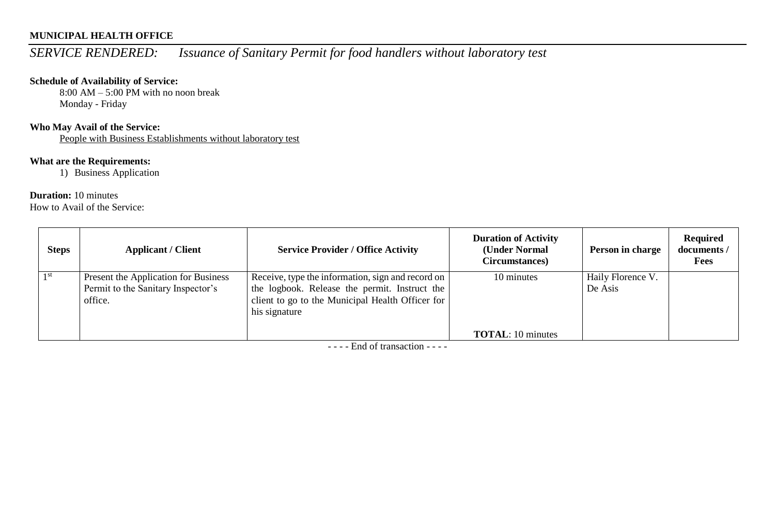# *SERVICE RENDERED: Issuance of Sanitary Permit for food handlers without laboratory test*

#### **Schedule of Availability of Service:**

 $8:00$  AM – 5:00 PM with no noon break Monday - Friday

#### **Who May Avail of the Service:**

People with Business Establishments without laboratory test

### **What are the Requirements:**

1) Business Application

#### **Duration:** 10 minutes

How to Avail of the Service:

| <b>Steps</b> | <b>Applicant / Client</b>                                                             | <b>Service Provider / Office Activity</b>                                                                                                                               | <b>Duration of Activity</b><br>(Under Normal<br>Circumstances) | Person in charge             | <b>Required</b><br>documents /<br><b>Fees</b> |
|--------------|---------------------------------------------------------------------------------------|-------------------------------------------------------------------------------------------------------------------------------------------------------------------------|----------------------------------------------------------------|------------------------------|-----------------------------------------------|
| 1 st         | Present the Application for Business<br>Permit to the Sanitary Inspector's<br>office. | Receive, type the information, sign and record on<br>the logbook. Release the permit. Instruct the<br>client to go to the Municipal Health Officer for<br>his signature | 10 minutes                                                     | Haily Florence V.<br>De Asis |                                               |
|              |                                                                                       |                                                                                                                                                                         | <b>TOTAL:</b> 10 minutes                                       |                              |                                               |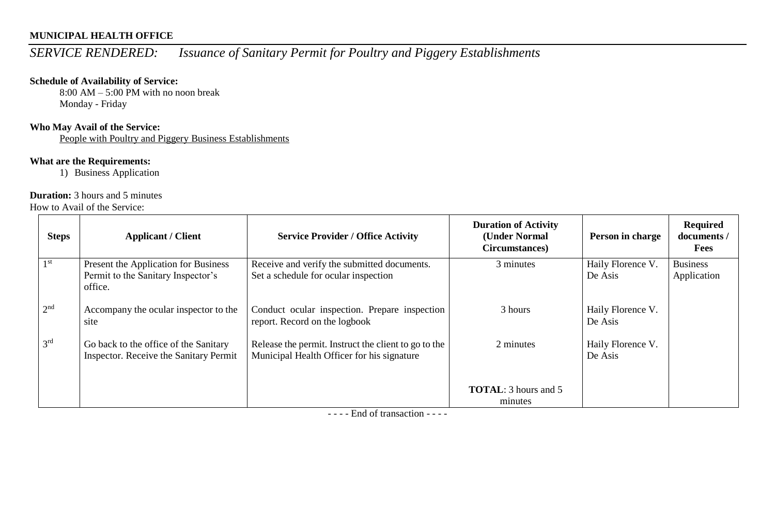# *SERVICE RENDERED: Issuance of Sanitary Permit for Poultry and Piggery Establishments*

#### **Schedule of Availability of Service:**

 $8:00$  AM – 5:00 PM with no noon break Monday - Friday

#### **Who May Avail of the Service:**

People with Poultry and Piggery Business Establishments

### **What are the Requirements:**

1) Business Application

#### **Duration:** 3 hours and 5 minutes

How to Avail of the Service:

| <b>Steps</b>    | <b>Applicant / Client</b>                                                             | <b>Service Provider / Office Activity</b>                                                          | <b>Duration of Activity</b><br>(Under Normal<br>Circumstances) | Person in charge             | <b>Required</b><br>documents /<br><b>Fees</b> |
|-----------------|---------------------------------------------------------------------------------------|----------------------------------------------------------------------------------------------------|----------------------------------------------------------------|------------------------------|-----------------------------------------------|
| 1 <sup>st</sup> | Present the Application for Business<br>Permit to the Sanitary Inspector's<br>office. | Receive and verify the submitted documents.<br>Set a schedule for ocular inspection                | 3 minutes                                                      | Haily Florence V.<br>De Asis | <b>Business</b><br>Application                |
| 2 <sup>nd</sup> | Accompany the ocular inspector to the<br>site                                         | Conduct ocular inspection. Prepare inspection<br>report. Record on the logbook                     | 3 hours                                                        | Haily Florence V.<br>De Asis |                                               |
| 3 <sup>rd</sup> | Go back to the office of the Sanitary<br>Inspector. Receive the Sanitary Permit       | Release the permit. Instruct the client to go to the<br>Municipal Health Officer for his signature | 2 minutes                                                      | Haily Florence V.<br>De Asis |                                               |
|                 |                                                                                       |                                                                                                    | <b>TOTAL:</b> 3 hours and 5<br>minutes                         |                              |                                               |